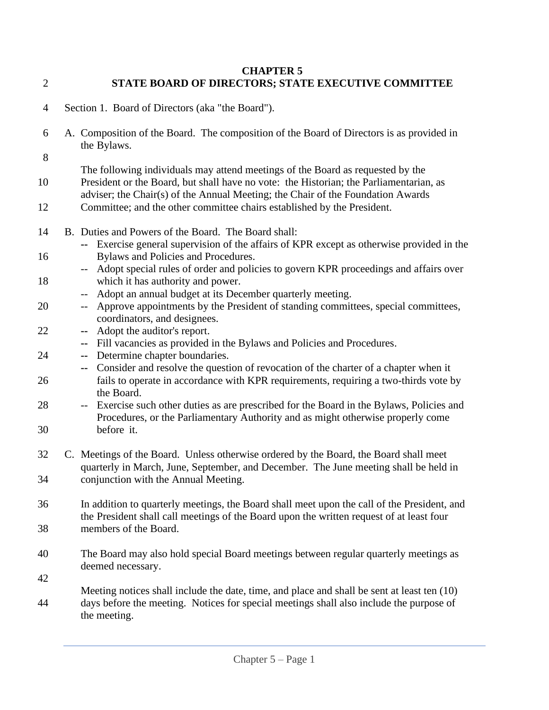- **CHAPTER 5** 2 **STATE BOARD OF DIRECTORS; STATE EXECUTIVE COMMITTEE**
- 4 Section 1. Board of Directors (aka "the Board").
- 6 A. Composition of the Board. The composition of the Board of Directors is as provided in the Bylaws.
- 8

The following individuals may attend meetings of the Board as requested by the 10 President or the Board, but shall have no vote: the Historian; the Parliamentarian, as adviser; the Chair(s) of the Annual Meeting; the Chair of the Foundation Awards

- 12 Committee; and the other committee chairs established by the President.
- 14 B. Duties and Powers of the Board. The Board shall:
- **--** Exercise general supervision of the affairs of KPR except as otherwise provided in the 16 Bylaws and Policies and Procedures.
- -- Adopt special rules of order and policies to govern KPR proceedings and affairs over 18 which it has authority and power.
- -- Adopt an annual budget at its December quarterly meeting.
- 20 -- Approve appointments by the President of standing committees, special committees, coordinators, and designees.
- 22 **--** Adopt the auditor's report.
	- **--** Fill vacancies as provided in the Bylaws and Policies and Procedures.
- 24 **--** Determine chapter boundaries.
- **--** Consider and resolve the question of revocation of the charter of a chapter when it 26 fails to operate in accordance with KPR requirements, requiring a two-thirds vote by the Board.
- 28 -- Exercise such other duties as are prescribed for the Board in the Bylaws, Policies and Procedures, or the Parliamentary Authority and as might otherwise properly come 30 before it.
- 32 C. Meetings of the Board. Unless otherwise ordered by the Board, the Board shall meet quarterly in March, June, September, and December. The June meeting shall be held in 34 conjunction with the Annual Meeting.
- 36 In addition to quarterly meetings, the Board shall meet upon the call of the President, and the President shall call meetings of the Board upon the written request of at least four 38 members of the Board.
- 40 The Board may also hold special Board meetings between regular quarterly meetings as deemed necessary.
- 42
- Meeting notices shall include the date, time, and place and shall be sent at least ten (10) 44 days before the meeting. Notices for special meetings shall also include the purpose of the meeting.